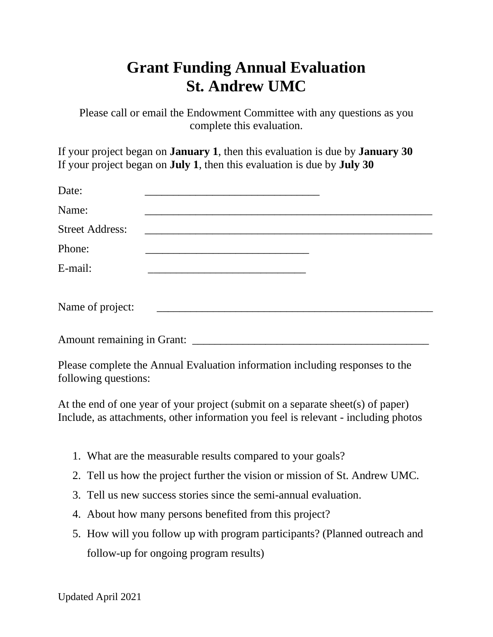## **Grant Funding Annual Evaluation St. Andrew UMC**

Please call or email the Endowment Committee with any questions as you complete this evaluation.

If your project began on **January 1**, then this evaluation is due by **January 30** If your project began on **July 1**, then this evaluation is due by **July 30**

| Date:                  |                                                                              |  |
|------------------------|------------------------------------------------------------------------------|--|
| Name:                  |                                                                              |  |
| <b>Street Address:</b> |                                                                              |  |
| Phone:                 |                                                                              |  |
| E-mail:                |                                                                              |  |
| Name of project:       |                                                                              |  |
|                        |                                                                              |  |
| following questions:   | Please complete the Annual Evaluation information including responses to the |  |

At the end of one year of your project (submit on a separate sheet(s) of paper) Include, as attachments, other information you feel is relevant - including photos

- 1. What are the measurable results compared to your goals?
- 2. Tell us how the project further the vision or mission of St. Andrew UMC.
- 3. Tell us new success stories since the semi-annual evaluation.
- 4. About how many persons benefited from this project?
- 5. How will you follow up with program participants? (Planned outreach and follow-up for ongoing program results)

Updated April 2021